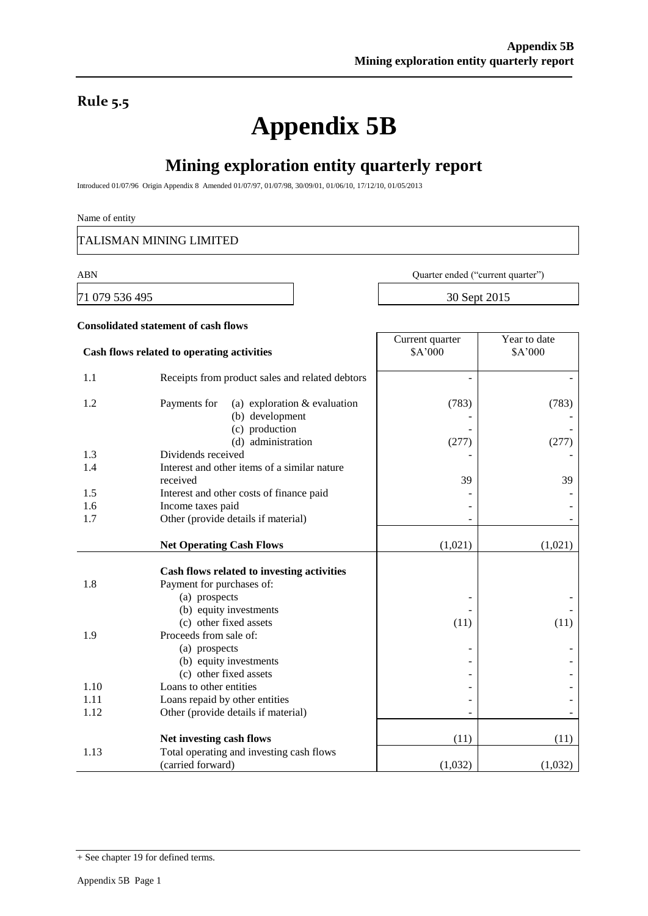## **Rule 5.5**

# **Appendix 5B**

# **Mining exploration entity quarterly report**

Introduced 01/07/96 Origin Appendix 8 Amended 01/07/97, 01/07/98, 30/09/01, 01/06/10, 17/12/10, 01/05/2013

#### Name of entity

TALISMAN MINING LIMITED

71 079 536 495 30 Sept 2015

ABN Quarter ended ("current quarter")

| Year to date<br>Current quarter<br>\$A'000<br>\$A'000<br>Cash flows related to operating activities<br>1.1<br>Receipts from product sales and related debtors<br>1.2<br>(a) exploration $&$ evaluation<br>(783)<br>Payments for<br>(b) development | (783)   |
|----------------------------------------------------------------------------------------------------------------------------------------------------------------------------------------------------------------------------------------------------|---------|
|                                                                                                                                                                                                                                                    |         |
|                                                                                                                                                                                                                                                    |         |
| (c) production<br>(d) administration<br>(277)                                                                                                                                                                                                      | (277)   |
| Dividends received<br>1.3                                                                                                                                                                                                                          |         |
| Interest and other items of a similar nature<br>1.4                                                                                                                                                                                                |         |
| received<br>39                                                                                                                                                                                                                                     | 39      |
| 1.5<br>Interest and other costs of finance paid                                                                                                                                                                                                    |         |
| 1.6<br>Income taxes paid                                                                                                                                                                                                                           |         |
| Other (provide details if material)<br>1.7                                                                                                                                                                                                         |         |
| <b>Net Operating Cash Flows</b><br>(1,021)                                                                                                                                                                                                         | (1,021) |
| Cash flows related to investing activities                                                                                                                                                                                                         |         |
| 1.8<br>Payment for purchases of:                                                                                                                                                                                                                   |         |
| (a) prospects                                                                                                                                                                                                                                      |         |
| (b) equity investments                                                                                                                                                                                                                             |         |
| (c) other fixed assets<br>(11)                                                                                                                                                                                                                     | (11)    |
| Proceeds from sale of:<br>1.9                                                                                                                                                                                                                      |         |
| (a) prospects                                                                                                                                                                                                                                      |         |
| (b) equity investments                                                                                                                                                                                                                             |         |
| (c) other fixed assets                                                                                                                                                                                                                             |         |
| 1.10<br>Loans to other entities                                                                                                                                                                                                                    |         |
| 1.11<br>Loans repaid by other entities                                                                                                                                                                                                             |         |
| 1.12<br>Other (provide details if material)                                                                                                                                                                                                        |         |
| Net investing cash flows<br>(11)                                                                                                                                                                                                                   | (11)    |
| Total operating and investing cash flows<br>1.13                                                                                                                                                                                                   |         |
| (carried forward)<br>(1,032)                                                                                                                                                                                                                       | (1,032) |

<sup>+</sup> See chapter 19 for defined terms.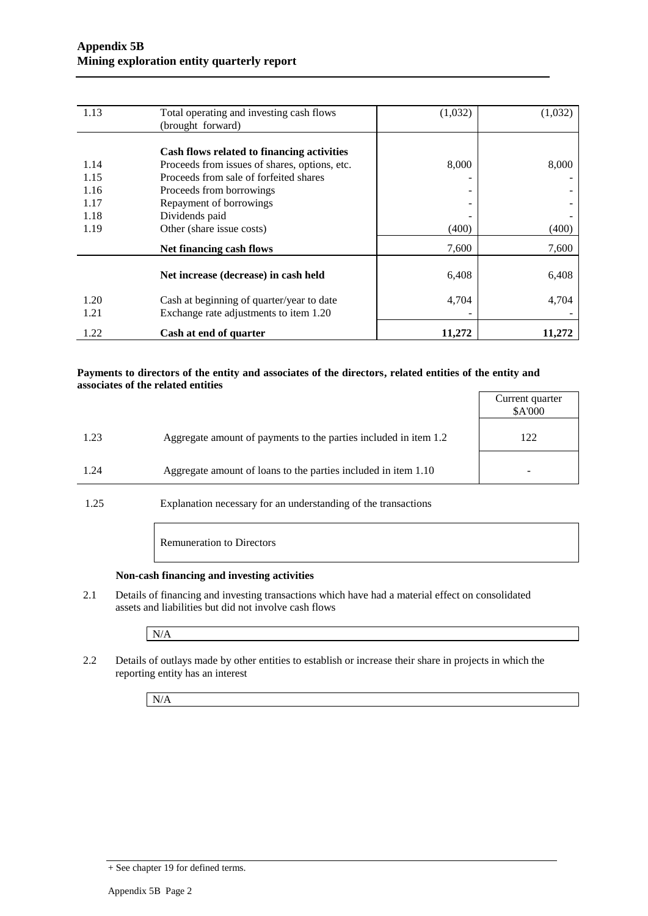| 1.13 | Total operating and investing cash flows      | (1,032) | (1,032) |
|------|-----------------------------------------------|---------|---------|
|      | (brought forward)                             |         |         |
|      |                                               |         |         |
|      | Cash flows related to financing activities    |         |         |
| 1.14 | Proceeds from issues of shares, options, etc. | 8,000   | 8,000   |
| 1.15 | Proceeds from sale of forfeited shares        |         |         |
| 1.16 | Proceeds from borrowings                      | -       |         |
| 1.17 | Repayment of borrowings                       |         |         |
| 1.18 | Dividends paid                                |         |         |
| 1.19 | Other (share issue costs)                     | (400)   | (400)   |
|      | Net financing cash flows                      | 7,600   | 7,600   |
|      | Net increase (decrease) in cash held          | 6,408   | 6,408   |
| 1.20 | Cash at beginning of quarter/year to date     | 4,704   | 4,704   |
| 1.21 | Exchange rate adjustments to item 1.20        |         |         |
| 1.22 | Cash at end of quarter                        | 11,272  | 11,272  |

#### **Payments to directors of the entity and associates of the directors, related entities of the entity and associates of the related entities**

|                                                                          | Current quarter<br>\$A'000 |
|--------------------------------------------------------------------------|----------------------------|
| 1.23<br>Aggregate amount of payments to the parties included in item 1.2 | 122                        |
| Aggregate amount of loans to the parties included in item 1.10<br>1.24   |                            |

1.25 Explanation necessary for an understanding of the transactions

Remuneration to Directors

#### **Non-cash financing and investing activities**

2.1 Details of financing and investing transactions which have had a material effect on consolidated assets and liabilities but did not involve cash flows

N/A

2.2 Details of outlays made by other entities to establish or increase their share in projects in which the reporting entity has an interest

N/A

<sup>+</sup> See chapter 19 for defined terms.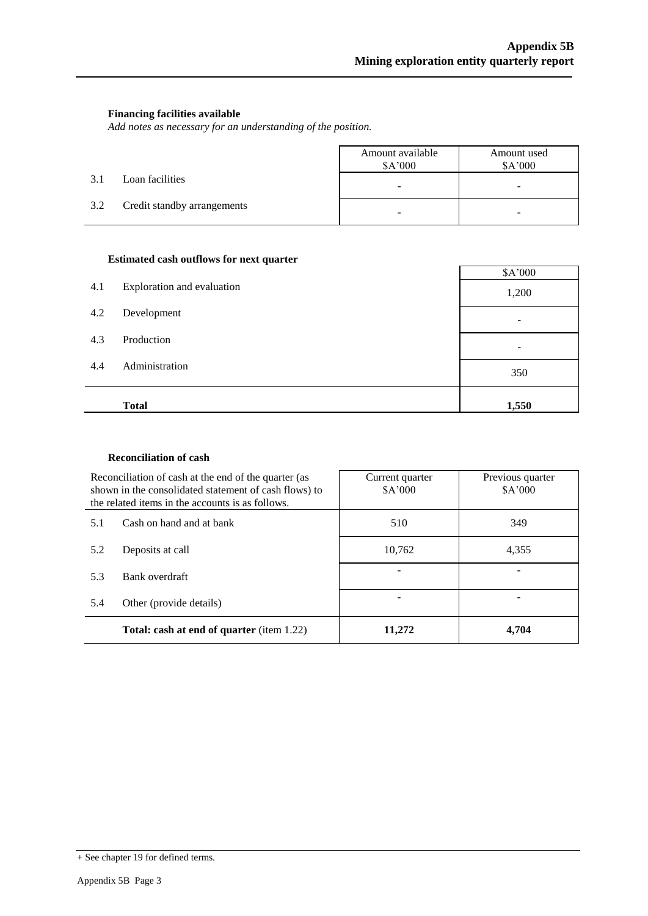#### **Financing facilities available**

*Add notes as necessary for an understanding of the position.*

|     |                             | Amount available<br>\$A'000 | Amount used<br>\$A'000 |
|-----|-----------------------------|-----------------------------|------------------------|
| 3.1 | Loan facilities             | -                           | -                      |
| 3.2 | Credit standby arrangements | -                           |                        |

#### **Estimated cash outflows for next quarter**

| 4.1 | Exploration and evaluation | \$A'000<br>1,200 |
|-----|----------------------------|------------------|
| 4.2 | Development                |                  |
| 4.3 | Production                 |                  |
| 4.4 | Administration             | 350              |
|     | <b>Total</b>               | 1,550            |

#### **Reconciliation of cash**

|     | Reconciliation of cash at the end of the quarter (as<br>shown in the consolidated statement of cash flows) to<br>the related items in the accounts is as follows. | Current quarter<br>\$A'000 | Previous quarter<br>\$A'000 |
|-----|-------------------------------------------------------------------------------------------------------------------------------------------------------------------|----------------------------|-----------------------------|
| 5.1 | Cash on hand and at bank                                                                                                                                          | 510                        | 349                         |
| 5.2 | Deposits at call                                                                                                                                                  | 10,762                     | 4.355                       |
| 5.3 | Bank overdraft                                                                                                                                                    |                            |                             |
| 5.4 | Other (provide details)                                                                                                                                           |                            |                             |
|     | <b>Total: cash at end of quarter</b> (item 1.22)                                                                                                                  | 11.272                     | 4.704                       |

<sup>+</sup> See chapter 19 for defined terms.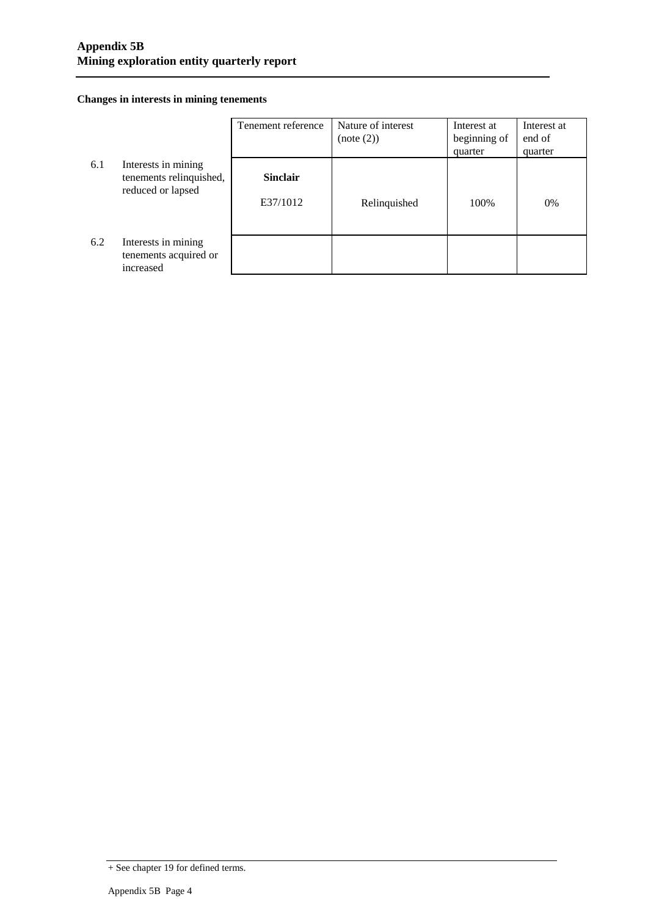#### **Changes in interests in mining tenements**

|     |                                                                     | Tenement reference          | Nature of interest<br>(note (2)) | Interest at<br>beginning of<br>quarter | Interest at<br>end of<br>quarter |
|-----|---------------------------------------------------------------------|-----------------------------|----------------------------------|----------------------------------------|----------------------------------|
| 6.1 | Interests in mining<br>tenements relinquished,<br>reduced or lapsed | <b>Sinclair</b><br>E37/1012 | Relinquished                     | 100%                                   | $0\%$                            |
| 6.2 | Interests in mining<br>tenements acquired or<br>increased           |                             |                                  |                                        |                                  |

<sup>+</sup> See chapter 19 for defined terms.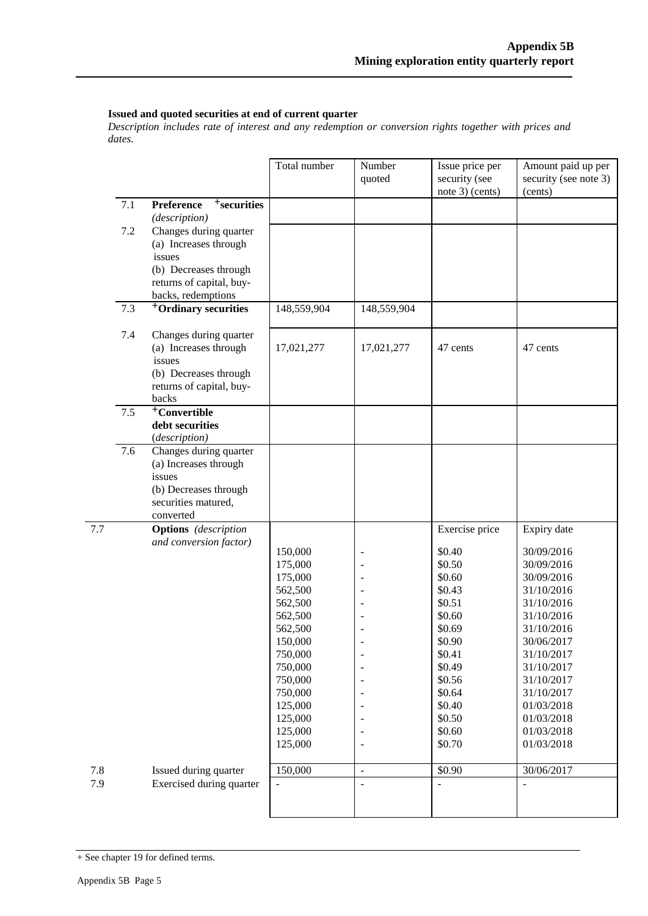#### **Issued and quoted securities at end of current quarter**

*Description includes rate of interest and any redemption or conversion rights together with prices and dates.*

|     |     |                                                        | Total number       | Number<br>quoted         | Issue price per<br>security (see | Amount paid up per<br>security (see note 3) |
|-----|-----|--------------------------------------------------------|--------------------|--------------------------|----------------------------------|---------------------------------------------|
|     |     |                                                        |                    |                          | note 3) (cents)                  | (cents)                                     |
|     | 7.1 | <sup>+</sup> securities<br>Preference<br>(description) |                    |                          |                                  |                                             |
|     | 7.2 | Changes during quarter                                 |                    |                          |                                  |                                             |
|     |     | (a) Increases through                                  |                    |                          |                                  |                                             |
|     |     | issues                                                 |                    |                          |                                  |                                             |
|     |     | (b) Decreases through                                  |                    |                          |                                  |                                             |
|     |     | returns of capital, buy-                               |                    |                          |                                  |                                             |
|     |     | backs, redemptions                                     |                    |                          |                                  |                                             |
|     | 7.3 | <sup>+</sup> Ordinary securities                       | 148,559,904        | 148,559,904              |                                  |                                             |
|     | 7.4 | Changes during quarter                                 |                    |                          |                                  |                                             |
|     |     | (a) Increases through                                  | 17,021,277         | 17,021,277               | 47 cents                         | 47 cents                                    |
|     |     | issues                                                 |                    |                          |                                  |                                             |
|     |     | (b) Decreases through                                  |                    |                          |                                  |                                             |
|     |     | returns of capital, buy-                               |                    |                          |                                  |                                             |
|     |     | backs                                                  |                    |                          |                                  |                                             |
|     | 7.5 | <sup>+</sup> Convertible                               |                    |                          |                                  |                                             |
|     |     | debt securities                                        |                    |                          |                                  |                                             |
|     |     | (description)                                          |                    |                          |                                  |                                             |
|     | 7.6 | Changes during quarter                                 |                    |                          |                                  |                                             |
|     |     | (a) Increases through                                  |                    |                          |                                  |                                             |
|     |     | issues                                                 |                    |                          |                                  |                                             |
|     |     | (b) Decreases through<br>securities matured,           |                    |                          |                                  |                                             |
|     |     | converted                                              |                    |                          |                                  |                                             |
| 7.7 |     | <b>Options</b> (description                            |                    |                          | Exercise price                   | Expiry date                                 |
|     |     | and conversion factor)                                 |                    |                          |                                  |                                             |
|     |     |                                                        | 150,000            |                          | \$0.40                           | 30/09/2016                                  |
|     |     |                                                        | 175,000            |                          | \$0.50                           | 30/09/2016                                  |
|     |     |                                                        | 175,000            |                          | \$0.60                           | 30/09/2016                                  |
|     |     |                                                        | 562,500            |                          | \$0.43                           | 31/10/2016                                  |
|     |     |                                                        | 562,500            |                          | \$0.51                           | 31/10/2016                                  |
|     |     |                                                        | 562,500            |                          | \$0.60                           | 31/10/2016                                  |
|     |     |                                                        | 562,500<br>150,000 |                          | \$0.69<br>\$0.90                 | 31/10/2016<br>30/06/2017                    |
|     |     |                                                        | 750,000            | $\overline{\phantom{a}}$ | \$0.41                           | 31/10/2017                                  |
|     |     |                                                        | 750,000            |                          | \$0.49                           | 31/10/2017                                  |
|     |     |                                                        | 750,000            |                          | \$0.56                           | 31/10/2017                                  |
|     |     |                                                        | 750,000            |                          | \$0.64                           | 31/10/2017                                  |
|     |     |                                                        | 125,000            |                          | \$0.40                           | 01/03/2018                                  |
|     |     |                                                        | 125,000            |                          | \$0.50                           | 01/03/2018                                  |
|     |     |                                                        | 125,000            |                          | \$0.60                           | 01/03/2018                                  |
|     |     |                                                        | 125,000            | -                        | \$0.70                           | 01/03/2018                                  |
| 7.8 |     | Issued during quarter                                  | 150,000            | $\overline{a}$           | \$0.90                           | 30/06/2017                                  |
| 7.9 |     | Exercised during quarter                               |                    | $\overline{\phantom{a}}$ |                                  |                                             |
|     |     |                                                        |                    |                          |                                  |                                             |
|     |     |                                                        |                    |                          |                                  |                                             |

<sup>+</sup> See chapter 19 for defined terms.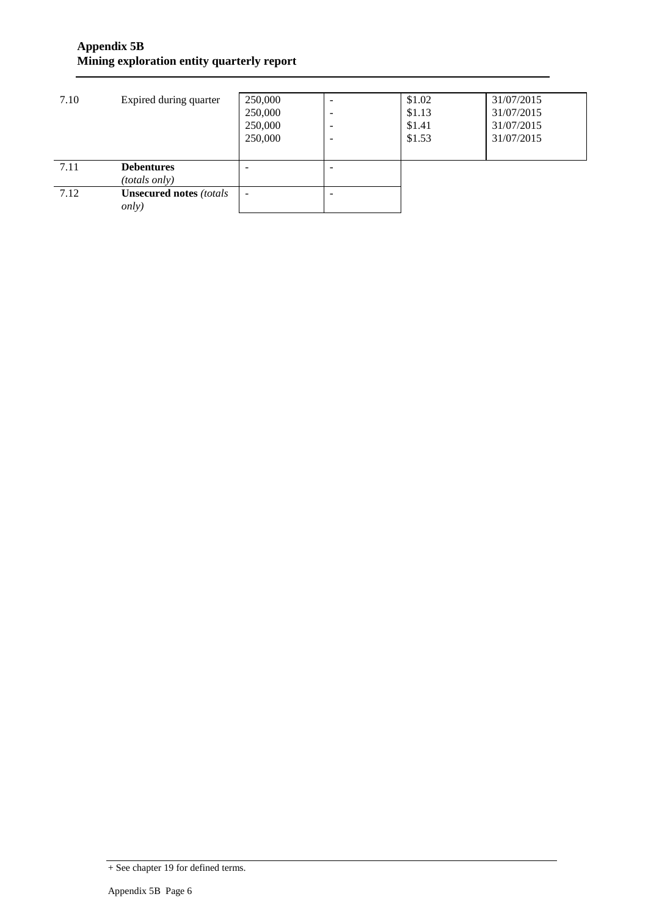### **Appendix 5B Mining exploration entity quarterly report**

| 7.10         | Expired during quarter                                                                | 250,000<br>250,000<br>250,000<br>250,000 | -<br><b>1</b><br>- | \$1.02<br>\$1.13<br>\$1.41<br>\$1.53 | 31/07/2015<br>31/07/2015<br>31/07/2015<br>31/07/2015 |
|--------------|---------------------------------------------------------------------------------------|------------------------------------------|--------------------|--------------------------------------|------------------------------------------------------|
| 7.11<br>7.12 | <b>Debentures</b><br>(totals only)<br><b>Unsecured notes (totals</b><br><i>only</i> ) |                                          |                    |                                      |                                                      |

<sup>+</sup> See chapter 19 for defined terms.